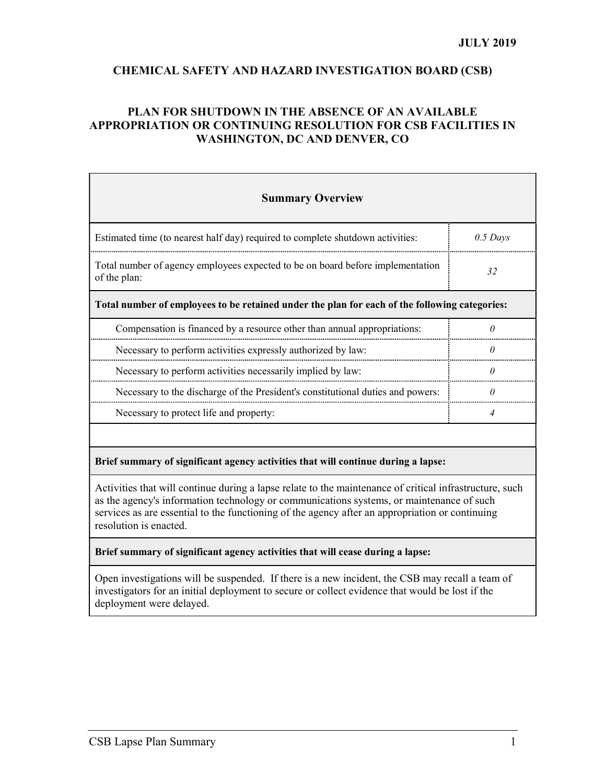## CHEMICAL SAFETY AND HAZARD INVESTIGATION BOARD (CSB)

## PLAN FOR SHUTDOWN IN THE ABSENCE OF AN AVAILABLE APPROPRIATION OR CONTINUING RESOLUTION FOR CSB FACILITIES IN WASHINGTON, DC AND DENVER, CO

| <b>Summary Overview</b>                                                                                                                                                                             |                |
|-----------------------------------------------------------------------------------------------------------------------------------------------------------------------------------------------------|----------------|
| Estimated time (to nearest half day) required to complete shutdown activities:                                                                                                                      | $0.5$ Days     |
| Total number of agency employees expected to be on board before implementation<br>of the plan:                                                                                                      | 32             |
| Total number of employees to be retained under the plan for each of the following categories:                                                                                                       |                |
| Compensation is financed by a resource other than annual appropriations:                                                                                                                            | $\theta$       |
| Necessary to perform activities expressly authorized by law:                                                                                                                                        | ( I            |
| Necessary to perform activities necessarily implied by law:                                                                                                                                         | $\theta$       |
| Necessary to the discharge of the President's constitutional duties and powers:                                                                                                                     | n              |
| Necessary to protect life and property:                                                                                                                                                             | $\overline{4}$ |
|                                                                                                                                                                                                     |                |
| Brief summary of significant agency activities that will continue during a lapse:                                                                                                                   |                |
| Activities that will continue during a lapse relate to the maintenance of critical infrastructure, such<br>as the agency's information technology or communications systems, or maintenance of such |                |

services as are essential to the functioning of the agency after an appropriation or continuing resolution is enacted.

## Brief summary of significant agency activities that will cease during a lapse:

Open investigations will be suspended. If there is a new incident, the CSB may recall a team of investigators for an initial deployment to secure or collect evidence that would be lost if the deployment were delayed.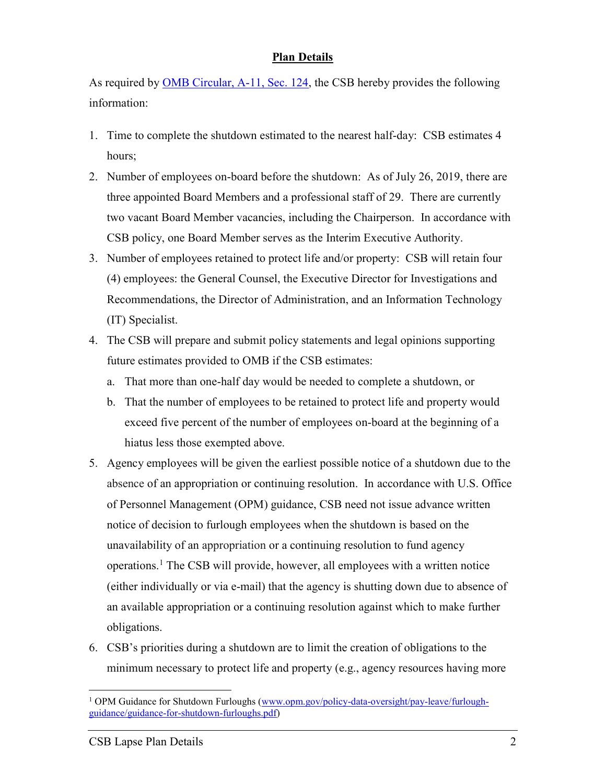## Plan Details

As required by OMB Circular, A-11, Sec. 124, the CSB hereby provides the following information:

- 1. Time to complete the shutdown estimated to the nearest half-day: CSB estimates 4 hours;
- 2. Number of employees on-board before the shutdown: As of July 26, 2019, there are three appointed Board Members and a professional staff of 29. There are currently two vacant Board Member vacancies, including the Chairperson. In accordance with CSB policy, one Board Member serves as the Interim Executive Authority.
- 3. Number of employees retained to protect life and/or property: CSB will retain four (4) employees: the General Counsel, the Executive Director for Investigations and Recommendations, the Director of Administration, and an Information Technology (IT) Specialist.
- 4. The CSB will prepare and submit policy statements and legal opinions supporting future estimates provided to OMB if the CSB estimates:
	- a. That more than one-half day would be needed to complete a shutdown, or
	- b. That the number of employees to be retained to protect life and property would exceed five percent of the number of employees on-board at the beginning of a hiatus less those exempted above.
- 5. Agency employees will be given the earliest possible notice of a shutdown due to the absence of an appropriation or continuing resolution. In accordance with U.S. Office of Personnel Management (OPM) guidance, CSB need not issue advance written notice of decision to furlough employees when the shutdown is based on the unavailability of an appropriation or a continuing resolution to fund agency operations.<sup>1</sup> The CSB will provide, however, all employees with a written notice (either individually or via e-mail) that the agency is shutting down due to absence of an available appropriation or a continuing resolution against which to make further obligations.
- 6. CSB's priorities during a shutdown are to limit the creation of obligations to the minimum necessary to protect life and property (e.g., agency resources having more

 $\overline{a}$ <sup>1</sup> OPM Guidance for Shutdown Furloughs (www.opm.gov/policy-data-oversight/pay-leave/furloughguidance/guidance-for-shutdown-furloughs.pdf)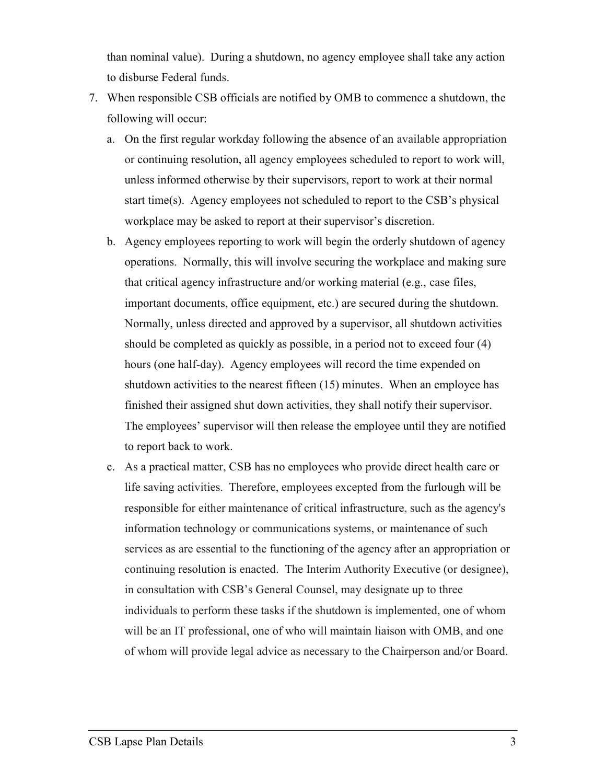than nominal value). During a shutdown, no agency employee shall take any action to disburse Federal funds.

- 7. When responsible CSB officials are notified by OMB to commence a shutdown, the following will occur:
	- a. On the first regular workday following the absence of an available appropriation or continuing resolution, all agency employees scheduled to report to work will, unless informed otherwise by their supervisors, report to work at their normal start time(s). Agency employees not scheduled to report to the CSB's physical workplace may be asked to report at their supervisor's discretion.
	- b. Agency employees reporting to work will begin the orderly shutdown of agency operations. Normally, this will involve securing the workplace and making sure that critical agency infrastructure and/or working material (e.g., case files, important documents, office equipment, etc.) are secured during the shutdown. Normally, unless directed and approved by a supervisor, all shutdown activities should be completed as quickly as possible, in a period not to exceed four (4) hours (one half-day). Agency employees will record the time expended on shutdown activities to the nearest fifteen (15) minutes. When an employee has finished their assigned shut down activities, they shall notify their supervisor. The employees' supervisor will then release the employee until they are notified to report back to work.
	- c. As a practical matter, CSB has no employees who provide direct health care or life saving activities. Therefore, employees excepted from the furlough will be responsible for either maintenance of critical infrastructure, such as the agency's information technology or communications systems, or maintenance of such services as are essential to the functioning of the agency after an appropriation or continuing resolution is enacted. The Interim Authority Executive (or designee), in consultation with CSB's General Counsel, may designate up to three individuals to perform these tasks if the shutdown is implemented, one of whom will be an IT professional, one of who will maintain liaison with OMB, and one of whom will provide legal advice as necessary to the Chairperson and/or Board.